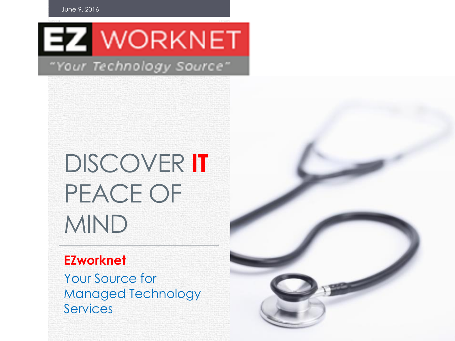June 9, 2016



#### "Your Technology Source"

# DISCOVER **IT** PEACE OF MIND

#### **EZworknet**

Your Source for Managed Technology Services

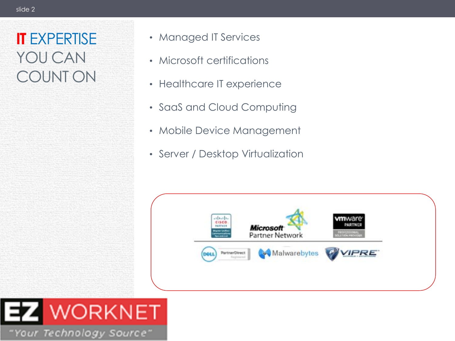#### **IT** EXPERTISE YOU CAN COUNT ON

- Managed IT Services
- Microsoft certifications
- Healthcare IT experience
- SaaS and Cloud Computing
- Mobile Device Management
- Server / Desktop Virtualization



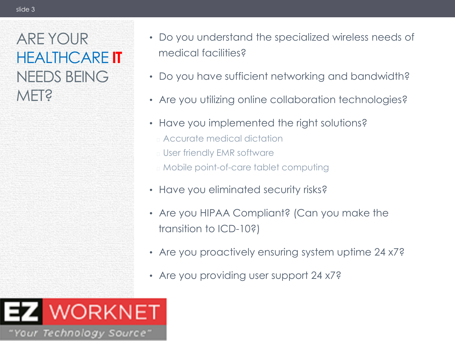#### ARE YOUR HEALTHCARE **IT** NEEDS BEING MET?

- Do you understand the specialized wireless needs of medical facilities?
- Do you have sufficient networking and bandwidth?
- Are you utilizing online collaboration technologies?
- Have you implemented the right solutions?
	- ⏐ Accurate medical dictation
	- ⏐ User friendly EMR software
	- ⏐ Mobile point-of-care tablet computing
- Have you eliminated security risks?
- Are you HIPAA Compliant? (Can you make the transition to ICD-10?)
- Are you proactively ensuring system uptime 24 x7?
- Are you providing user support 24 x7?

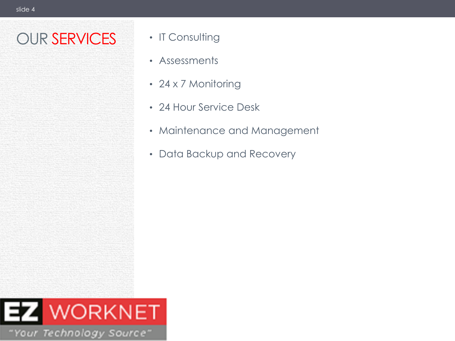# OUR SERVICES • IT Consulting

- 
- Assessments
- 24 x 7 Monitoring
- 24 Hour Service Desk
- Maintenance and Management
- Data Backup and Recovery

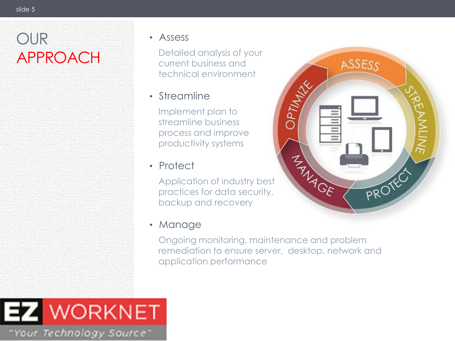# OUR APPROACH

#### • Assess

Detailed analysis of your current business and technical environment

#### • Streamline

Implement plan to streamline business process and improve productivity systems

#### • Protect

Application of industry best practices for data security, backup and recovery

#### • Manage

Ongoing monitoring, maintenance and problem remediation to ensure server, desktop, network and application performance



# WORKNET "Your Technology Source"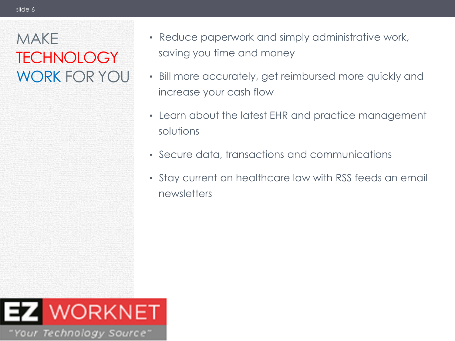## MAKE **TECHNOLOGY** WORK FOR YOU

- Reduce paperwork and simply administrative work, saving you time and money
- Bill more accurately, get reimbursed more quickly and increase your cash flow
- Learn about the latest EHR and practice management solutions
- Secure data, transactions and communications
- Stay current on healthcare law with RSS feeds an email newsletters

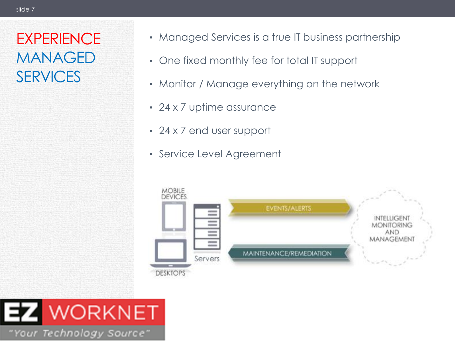#### **EXPERIENCE** MANAGED SERVICES

- Managed Services is a true IT business partnership
- One fixed monthly fee for total IT support
- Monitor / Manage everything on the network
- 24 x 7 uptime assurance
- 24 x 7 end user support
- Service Level Agreement



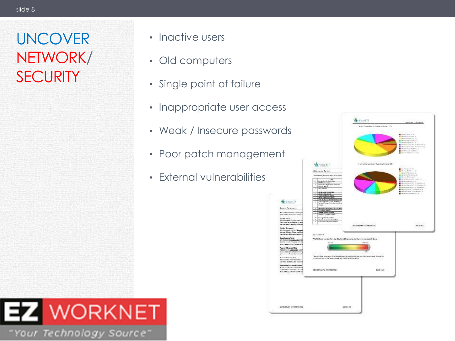#### UNCOVER NETWORK/ **SECURITY**

- Inactive users
- Old computers
- Single point of failure
- Inappropriate user access
- Weak / Insecure passwords
- Poor patch management
- External vulnerabilities



**VE YOURTE** 

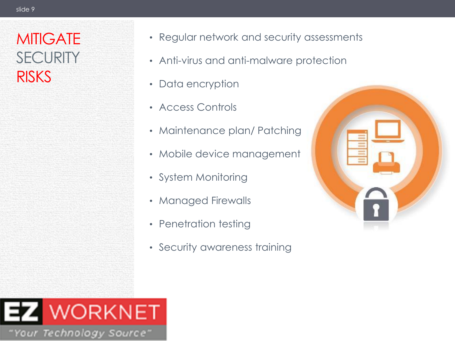#### **MITIGATE SECURITY RISKS**

- Regular network and security assessments
- Anti-virus and anti-malware protection
- Data encryption
- Access Controls
- Maintenance plan/ Patching
- Mobile device management
- System Monitoring
- Managed Firewalls
- Penetration testing
- Security awareness training



# **VORKNET** "Your Technology Source"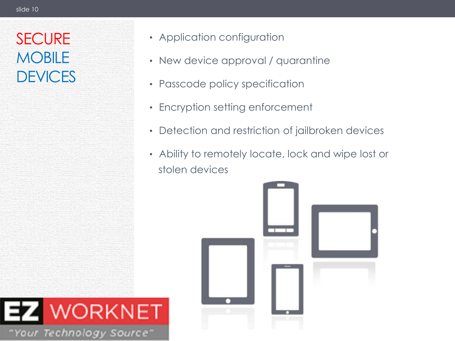# **SECURE MOBILE DEVICES**

- Application configuration
- New device approval / quarantine
- Passcode policy specification
- Encryption setting enforcement
- Detection and restriction of jailbroken devices
- Ability to remotely locate, lock and wipe lost or stolen devices



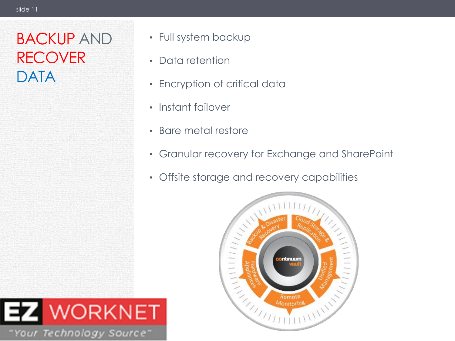## BACKUP AND RECOVER DATA

- Full system backup
- Data retention
- Encryption of critical data
- Instant failover
- Bare metal restore
- Granular recovery for Exchange and SharePoint
- Offsite storage and recovery capabilities



# WORKNET "Your Technology Source"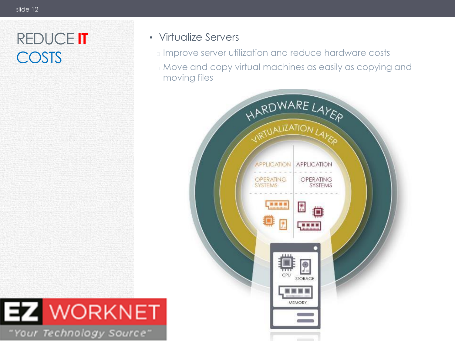## REDUCE **IT** COSTS

**EZ WORKNET** 

"Your Technology Source"

#### • Virtualize Servers

- ⏐ Improve server utilization and reduce hardware costs
- ⏐ Move and copy virtual machines as easily as copying and moving files

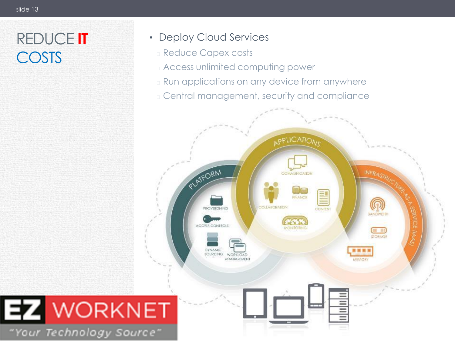# REDUCE **IT** COSTS

- Deploy Cloud Services
	- ⏐ Reduce Capex costs
	- ⏐ Access unlimited computing power
	- **E** Run applications on any device from anywhere
	- ⏐ Central management, security and compliance

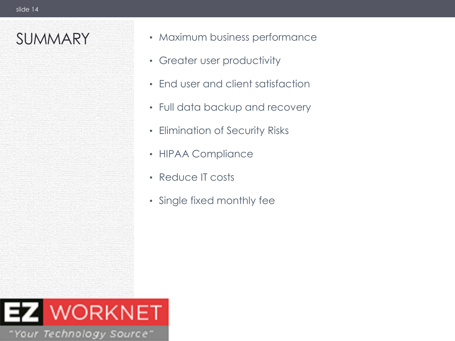- SUMMARY Maximum business performance
	- Greater user productivity
	- End user and client satisfaction
	- Full data backup and recovery
	- Elimination of Security Risks
	- HIPAA Compliance
	- Reduce IT costs
	- Single fixed monthly fee